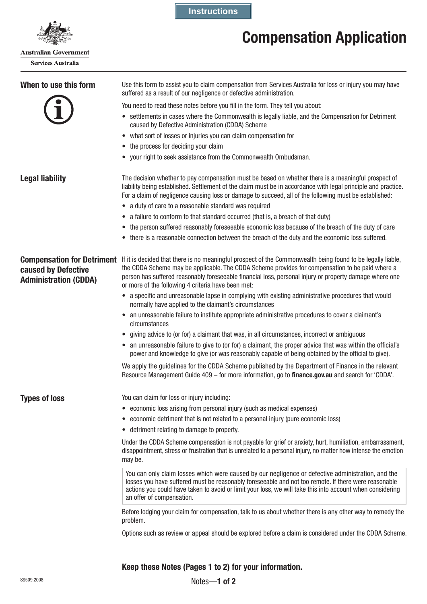

**Australian Government Services Australia** 

**Instructions**

# **Compensation Application**

| When to use this form                                                                    | Use this form to assist you to claim compensation from Services Australia for loss or injury you may have<br>suffered as a result of our negligence or defective administration.                                                                                                                                                                                                |
|------------------------------------------------------------------------------------------|---------------------------------------------------------------------------------------------------------------------------------------------------------------------------------------------------------------------------------------------------------------------------------------------------------------------------------------------------------------------------------|
|                                                                                          | You need to read these notes before you fill in the form. They tell you about:                                                                                                                                                                                                                                                                                                  |
|                                                                                          | • settlements in cases where the Commonwealth is legally liable, and the Compensation for Detriment<br>caused by Defective Administration (CDDA) Scheme                                                                                                                                                                                                                         |
|                                                                                          | • what sort of losses or injuries you can claim compensation for                                                                                                                                                                                                                                                                                                                |
|                                                                                          | • the process for deciding your claim                                                                                                                                                                                                                                                                                                                                           |
|                                                                                          | • your right to seek assistance from the Commonwealth Ombudsman.                                                                                                                                                                                                                                                                                                                |
| <b>Legal liability</b>                                                                   | The decision whether to pay compensation must be based on whether there is a meaningful prospect of<br>liability being established. Settlement of the claim must be in accordance with legal principle and practice.<br>For a claim of negligence causing loss or damage to succeed, all of the following must be established:                                                  |
|                                                                                          | • a duty of care to a reasonable standard was required                                                                                                                                                                                                                                                                                                                          |
|                                                                                          | • a failure to conform to that standard occurred (that is, a breach of that duty)                                                                                                                                                                                                                                                                                               |
|                                                                                          | • the person suffered reasonably foreseeable economic loss because of the breach of the duty of care                                                                                                                                                                                                                                                                            |
|                                                                                          | • there is a reasonable connection between the breach of the duty and the economic loss suffered.                                                                                                                                                                                                                                                                               |
| <b>Compensation for Detriment</b><br>caused by Defective<br><b>Administration (CDDA)</b> | If it is decided that there is no meaningful prospect of the Commonwealth being found to be legally liable,<br>the CDDA Scheme may be applicable. The CDDA Scheme provides for compensation to be paid where a<br>person has suffered reasonably foreseeable financial loss, personal injury or property damage where one<br>or more of the following 4 criteria have been met: |
|                                                                                          | • a specific and unreasonable lapse in complying with existing administrative procedures that would<br>normally have applied to the claimant's circumstances                                                                                                                                                                                                                    |
|                                                                                          | • an unreasonable failure to institute appropriate administrative procedures to cover a claimant's<br>circumstances                                                                                                                                                                                                                                                             |
|                                                                                          | giving advice to (or for) a claimant that was, in all circumstances, incorrect or ambiguous                                                                                                                                                                                                                                                                                     |
|                                                                                          | • an unreasonable failure to give to (or for) a claimant, the proper advice that was within the official's<br>power and knowledge to give (or was reasonably capable of being obtained by the official to give).                                                                                                                                                                |
|                                                                                          | We apply the guidelines for the CDDA Scheme published by the Department of Finance in the relevant<br>Resource Management Guide 409 - for more information, go to finance.gov.au and search for 'CDDA'.                                                                                                                                                                         |
| <b>Types of loss</b>                                                                     | You can claim for loss or injury including:                                                                                                                                                                                                                                                                                                                                     |
|                                                                                          | • economic loss arising from personal injury (such as medical expenses)                                                                                                                                                                                                                                                                                                         |
|                                                                                          | • economic detriment that is not related to a personal injury (pure economic loss)                                                                                                                                                                                                                                                                                              |
|                                                                                          | • detriment relating to damage to property.                                                                                                                                                                                                                                                                                                                                     |
|                                                                                          | Under the CDDA Scheme compensation is not payable for grief or anxiety, hurt, humiliation, embarrassment,<br>disappointment, stress or frustration that is unrelated to a personal injury, no matter how intense the emotion<br>may be.                                                                                                                                         |
|                                                                                          | You can only claim losses which were caused by our negligence or defective administration, and the<br>losses you have suffered must be reasonably foreseeable and not too remote. If there were reasonable<br>actions you could have taken to avoid or limit your loss, we will take this into account when considering<br>an offer of compensation.                            |
|                                                                                          | Before lodging your claim for compensation, talk to us about whether there is any other way to remedy the<br>problem.                                                                                                                                                                                                                                                           |
|                                                                                          | Options such as review or appeal should be explored before a claim is considered under the CDDA Scheme.                                                                                                                                                                                                                                                                         |
|                                                                                          | Keep these Notes (Pages 1 to 2) for your information.                                                                                                                                                                                                                                                                                                                           |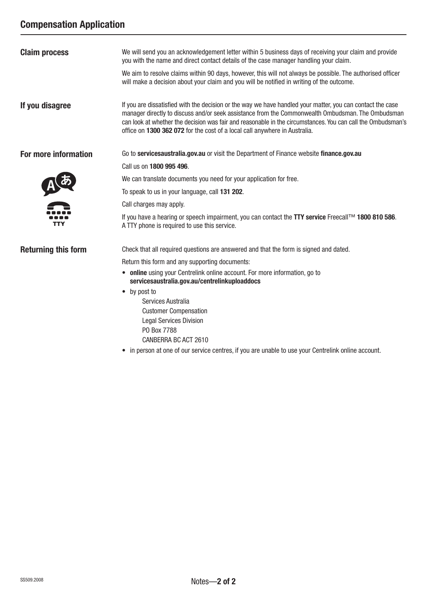# **Compensation Application**

| <b>Claim process</b>       | We will send you an acknowledgement letter within 5 business days of receiving your claim and provide<br>you with the name and direct contact details of the case manager handling your claim.                                                                                                                                                                                                               |
|----------------------------|--------------------------------------------------------------------------------------------------------------------------------------------------------------------------------------------------------------------------------------------------------------------------------------------------------------------------------------------------------------------------------------------------------------|
|                            | We aim to resolve claims within 90 days, however, this will not always be possible. The authorised officer<br>will make a decision about your claim and you will be notified in writing of the outcome.                                                                                                                                                                                                      |
| If you disagree            | If you are dissatisfied with the decision or the way we have handled your matter, you can contact the case<br>manager directly to discuss and/or seek assistance from the Commonwealth Ombudsman. The Ombudsman<br>can look at whether the decision was fair and reasonable in the circumstances. You can call the Ombudsman's<br>office on 1300 362 072 for the cost of a local call anywhere in Australia. |
| For more information       | Go to servicesaustralia.gov.au or visit the Department of Finance website finance.gov.au                                                                                                                                                                                                                                                                                                                     |
|                            | Call us on 1800 995 496.                                                                                                                                                                                                                                                                                                                                                                                     |
|                            | We can translate documents you need for your application for free.                                                                                                                                                                                                                                                                                                                                           |
| A あ                        | To speak to us in your language, call 131 202.                                                                                                                                                                                                                                                                                                                                                               |
|                            | Call charges may apply.                                                                                                                                                                                                                                                                                                                                                                                      |
| <b>TTY</b>                 | If you have a hearing or speech impairment, you can contact the TTY service Freecall™ 1800 810 586.<br>A TTY phone is required to use this service.                                                                                                                                                                                                                                                          |
| <b>Returning this form</b> | Check that all required questions are answered and that the form is signed and dated.                                                                                                                                                                                                                                                                                                                        |
|                            | Return this form and any supporting documents:                                                                                                                                                                                                                                                                                                                                                               |
|                            | • online using your Centrelink online account. For more information, go to<br>servicesaustralia.gov.au/centrelinkuploaddocs                                                                                                                                                                                                                                                                                  |
|                            | • by post to                                                                                                                                                                                                                                                                                                                                                                                                 |
|                            | Services Australia                                                                                                                                                                                                                                                                                                                                                                                           |
|                            | <b>Customer Compensation</b>                                                                                                                                                                                                                                                                                                                                                                                 |
|                            | <b>Legal Services Division</b><br>PO Box 7788                                                                                                                                                                                                                                                                                                                                                                |
|                            | CANBERRA BC ACT 2610                                                                                                                                                                                                                                                                                                                                                                                         |

• in person at one of our service centres, if you are unable to use your Centrelink online account.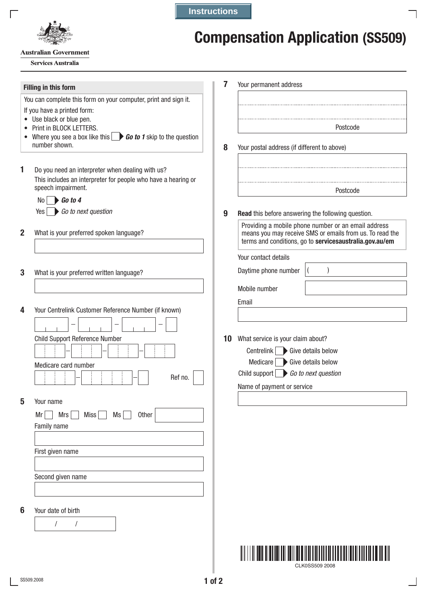

**Instructions**

**7**

# **Compensation Application (SS509)**

**Australian Government** 

**Services Australia** 

## **Filling in this form**

You can complete this form on your computer, print and sign it.

- If you have a printed form:
- Use black or blue pen.
- Print in BLOCK LETTERS.
- Where you see a box like this **Go to 1** skip to the question number shown.
- **1** Do you need an interpreter when dealing with us? This includes an interpreter for people who have a hearing or speech impairment.
	- No *Go to 4*

Yes *Go to next question*

- **2** What is your preferred spoken language?
- **3** What is your preferred written language?

/ /

|           | Child Support Reference Number |             |    |              |         |
|-----------|--------------------------------|-------------|----|--------------|---------|
|           | Medicare card number           |             |    |              | Ref no. |
| Your name |                                |             |    |              |         |
| Mr        | Mrs                            | <b>Miss</b> | Ms | <b>Other</b> |         |
|           | Family name                    |             |    |              |         |
|           | First given name               |             |    |              |         |
|           | Second given name              |             |    |              |         |
|           |                                |             |    |              |         |

- Your permanent address Postcode
- **8** Your postal address (if different to above)
	- Postcode
- **9 Read** this before answering the following question.

Providing a mobile phone number or an email address means you may receive SMS or emails from us. To read the terms and conditions, go to **servicesaustralia.gov.au/em** 

 $($ 

Your contact details

Daytime phone number

Mobile number

Email

| 10 | What service is your claim about?            |  |
|----|----------------------------------------------|--|
|    | Centrelink Give details below                |  |
|    | Medicare $\Box$ Give details below           |  |
|    | Child support $\bigcirc$ Go to next question |  |

Name of payment or service